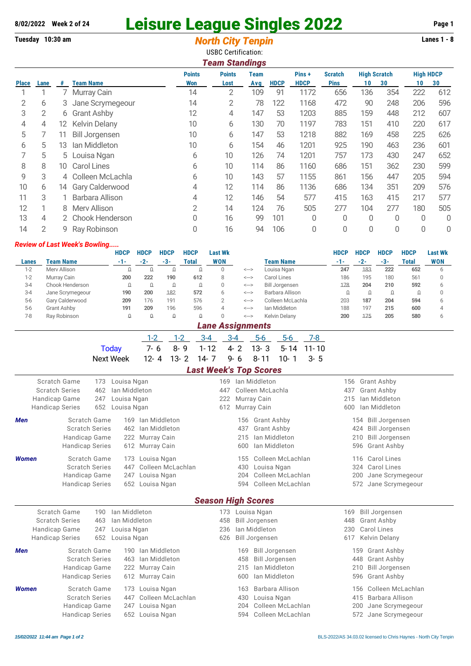## **8/02/2022 Week 2 of 24** Leisure League Singles 2022 **Page 1** Page 1

|                                 | Tuesday 10:30 am                                                                 |                                                                   |                      |                                      |                                    |                                                          |                                                                      |                                                                                                | <b>North City Tenpin</b><br><b>USBC Certification:</b> |                               |                 |                            |                 |                           |                                         |                     |                     | <b>Lanes 1 - 8</b> |  |
|---------------------------------|----------------------------------------------------------------------------------|-------------------------------------------------------------------|----------------------|--------------------------------------|------------------------------------|----------------------------------------------------------|----------------------------------------------------------------------|------------------------------------------------------------------------------------------------|--------------------------------------------------------|-------------------------------|-----------------|----------------------------|-----------------|---------------------------|-----------------------------------------|---------------------|---------------------|--------------------|--|
|                                 |                                                                                  |                                                                   |                      |                                      |                                    |                                                          |                                                                      | <b>Points</b>                                                                                  | <b>Team Standings</b><br><b>Points</b>                 | <b>Team</b>                   |                 |                            | Pins+           | <b>Scratch</b>            |                                         | <b>High Scratch</b> |                     | <b>High HDCP</b>   |  |
| <b>Place</b>                    | Lane                                                                             | #                                                                 | <b>Team Name</b>     |                                      |                                    |                                                          |                                                                      | Won                                                                                            | Lost                                                   | Avg                           | <b>HDCP</b>     |                            | <b>HDCP</b>     | <b>Pins</b>               | 10                                      | 30                  | 10                  | 30                 |  |
| 1                               | 1                                                                                | 7                                                                 |                      | Murray Cain                          |                                    |                                                          |                                                                      | 14                                                                                             | $\overline{2}$                                         | 109                           |                 | 91                         | 1172            | 656                       | 136                                     | 354                 | 222                 | 612                |  |
| 2                               | 6                                                                                | 3                                                                 |                      |                                      | Jane Scrymegeour                   |                                                          |                                                                      | 14                                                                                             | 2                                                      |                               | 78              | 122                        | 1168            | 472                       | 90                                      | 248                 | 206                 | 596                |  |
| 3                               | 2                                                                                | 6                                                                 |                      | <b>Grant Ashby</b>                   |                                    |                                                          |                                                                      | 12                                                                                             | 4                                                      | 147                           |                 | 53                         | 1203            | 885                       | 159                                     | 448                 | 212                 | 607                |  |
| 4                               | 4                                                                                | 12                                                                | <b>Kelvin Delany</b> |                                      |                                    |                                                          | 10                                                                   | 6                                                                                              | 130                                                    |                               | 70              | 1197                       | 783             | 151                       | 410                                     | 220                 | 617                 |                    |  |
| 5                               | 7                                                                                | <b>Bill Jorgensen</b><br>11                                       |                      |                                      | 10                                 | 6                                                        | 147                                                                  |                                                                                                | 53                                                     | 1218                          | 882             | 169                        | 458             | 225                       | 626                                     |                     |                     |                    |  |
| 6                               | 5                                                                                | 13                                                                |                      | Ian Middleton                        |                                    |                                                          |                                                                      | 10                                                                                             | 6                                                      | 154                           |                 | 46                         | 1201            | 925                       | 190                                     | 463                 | 236                 | 601                |  |
| 7                               | 5                                                                                | 5                                                                 |                      | Louisa Ngan                          |                                    |                                                          |                                                                      | 6                                                                                              | 10                                                     | 126                           |                 | 74                         | 1201            | 757                       | 173                                     | 430                 | 247                 | 652                |  |
| 8                               | 8                                                                                | <b>Carol Lines</b><br>10                                          |                      |                                      |                                    | 6                                                        | 10                                                                   | 114                                                                                            |                                                        | 86                            | 1160            | 686                        | 151             | 362                       | 230                                     | 599                 |                     |                    |  |
| 9                               | 3                                                                                | 4                                                                 |                      |                                      | Colleen McLachla                   |                                                          |                                                                      | 6                                                                                              | 10                                                     | 143                           |                 | 57                         | 1155            | 861                       | 156                                     | 447                 | 205                 | 594                |  |
| 10                              | 6                                                                                | 14                                                                |                      | Gary Calderwood                      |                                    |                                                          |                                                                      | 4                                                                                              | 12                                                     | 114                           |                 | 86                         | 1136            | 686                       | 134                                     | 351                 | 209                 | 576                |  |
| 11                              | 3                                                                                |                                                                   |                      | <b>Barbara Allison</b>               |                                    |                                                          |                                                                      | 4                                                                                              | 12                                                     | 146                           |                 | 54                         | 577             | 415                       | 163                                     | 415                 | 217                 | 577                |  |
| 12                              | 1                                                                                | 8                                                                 |                      | Merv Allison                         |                                    |                                                          |                                                                      | $\overline{2}$                                                                                 | 14                                                     | 124                           |                 | 76                         | 505             | 277                       | 104                                     | 277                 | 180                 | 505                |  |
| 13                              | 4                                                                                | 2                                                                 |                      |                                      | Chook Henderson                    |                                                          |                                                                      | 0                                                                                              | 16                                                     |                               | 99              | 101                        | 0               | 0                         | 0                                       | 0                   | $\overline{0}$      | $\mathbf 0$        |  |
| 14                              | $\overline{2}$                                                                   | 9                                                                 |                      | Ray Robinson                         |                                    |                                                          |                                                                      | 0                                                                                              | 16                                                     |                               | 94              | 106                        | 0               | 0                         | 0                                       | 0                   | $\overline{0}$      | $\Omega$           |  |
|                                 |                                                                                  |                                                                   |                      | <b>Review of Last Week's Bowling</b> |                                    |                                                          |                                                                      |                                                                                                |                                                        |                               |                 |                            |                 |                           |                                         |                     |                     |                    |  |
| <b>HDCP</b><br><b>HDCP</b>      |                                                                                  |                                                                   | <b>HDCP</b>          | <b>HDCP</b>                          | <b>Last Wk</b>                     |                                                          |                                                                      |                                                                                                |                                                        | <b>HDCP</b>                   | <b>HDCP</b>     | <b>HDCP</b>                | <b>HDCP</b>     | <b>Last Wk</b>            |                                         |                     |                     |                    |  |
| Lanes<br>$1-2$                  |                                                                                  | <b>Team Name</b><br>Merv Allison                                  |                      |                                      | -1-<br>$\Omega$                    | $-2-$<br>$\Omega$                                        | $-3-$<br>$\Omega$                                                    | <b>Total</b><br>O                                                                              | <b>WON</b><br>0                                        |                               |                 | <b>Team Name</b>           |                 | $-1-$<br>247              | $-2-$<br>183                            | $-3-$<br>222        | <b>Total</b><br>652 | <b>WON</b><br>6    |  |
| $1-2$                           |                                                                                  | Murray Cain                                                       |                      |                                      | 200                                | 222                                                      | 190                                                                  | 612                                                                                            | 8                                                      | <--><br>$\Longleftrightarrow$ |                 | Louisa Ngan<br>Carol Lines |                 | 186                       | 195                                     | 180                 | 561                 | $\mathbf 0$        |  |
| $3-4$                           |                                                                                  | Chook Henderson<br>$\hbox{\large\it Q}$                           |                      | $\Omega$                             | $\Omega$                           | $\hbox{\large\it Q}$                                     | $\mathbf 0$                                                          | $\text{<}\text{--}\text{>}$                                                                    | <b>Bill Jorgensen</b>                                  |                               |                 | 178                        | 204             | 210                       | 592                                     | 6                   |                     |                    |  |
| $3-4$                           |                                                                                  | Jane Scrymegeour<br>190<br>200                                    |                      | 182<br>191                           | 572<br>576                         | 6<br>$\overline{2}$                                      | Barbara Allison<br>$\Longleftrightarrow$<br>Colleen McLachla<br><--> |                                                                                                |                                                        | $\Omega$<br>203               | $\Omega$<br>187 | $\Omega$<br>204            | $\Omega$<br>594 | $\mathbf 0$<br>6          |                                         |                     |                     |                    |  |
| $5-6$<br>$5-6$                  |                                                                                  | Gary Calderwood<br>209<br>176<br><b>Grant Ashby</b><br>191<br>209 |                      |                                      | 196                                | 596                                                      | 4                                                                    | $\Longleftrightarrow$                                                                          | lan Middleton                                          |                               |                 |                            | 197             | 215                       | 600                                     | $\overline{4}$      |                     |                    |  |
| $7 - 8$                         |                                                                                  | Ray Robinson                                                      |                      |                                      | O                                  | $\Omega$                                                 | $\mathbf{0}$                                                         | $\cap$                                                                                         | $\cap$                                                 | $\Longleftrightarrow$         |                 | Kelvin Delany              |                 | 200                       | 175                                     | 205                 | 580                 | 6                  |  |
|                                 |                                                                                  |                                                                   |                      |                                      |                                    |                                                          |                                                                      |                                                                                                | <b>Lane Assignments</b>                                |                               |                 |                            |                 |                           |                                         |                     |                     |                    |  |
|                                 | $1 - 2$                                                                          |                                                                   |                      |                                      |                                    | $1 - 2$<br>$3 - 4$<br>$3-4$<br>$5-6$<br>$5-6$<br>$7 - 8$ |                                                                      |                                                                                                |                                                        |                               |                 |                            |                 |                           |                                         |                     |                     |                    |  |
|                                 |                                                                                  |                                                                   |                      |                                      | <b>Today</b>                       | $7 - 6$                                                  |                                                                      | $8 - 9$                                                                                        | $1 - 12$                                               | $4 - 2$                       | $13 - 3$        | $5 - 14$                   | $11 - 10$       |                           |                                         |                     |                     |                    |  |
|                                 |                                                                                  |                                                                   |                      |                                      | <b>Next Week</b>                   | $12 - 4$                                                 |                                                                      | $13 - 2$                                                                                       | $14 - 7$                                               | $9 - 6$                       | $8 - 11$        | $10 - 1$                   | $3 - 5$         |                           |                                         |                     |                     |                    |  |
|                                 |                                                                                  |                                                                   |                      |                                      |                                    |                                                          |                                                                      |                                                                                                | <b>Last Week's Top Scores</b>                          |                               |                 |                            |                 |                           |                                         |                     |                     |                    |  |
| Scratch Game<br>173 Louisa Ngan |                                                                                  |                                                                   |                      |                                      |                                    |                                                          | 169 Ian Middleton                                                    |                                                                                                |                                                        |                               |                 |                            |                 | 156 Grant Ashby           |                                         |                     |                     |                    |  |
|                                 | <b>Scratch Series</b>                                                            |                                                                   |                      | 462 Ian Middleton                    |                                    |                                                          |                                                                      | 447 Colleen McLachla                                                                           |                                                        |                               |                 |                            |                 |                           | 437 Grant Ashby<br>Ian Middleton<br>215 |                     |                     |                    |  |
|                                 | Handicap Game<br>Louisa Ngan<br>247<br><b>Handicap Series</b><br>652 Louisa Ngan |                                                                   |                      |                                      | 222 Murray Cain<br>612 Murray Cain |                                                          |                                                                      |                                                                                                |                                                        |                               | 600             |                            | Ian Middleton   |                           |                                         |                     |                     |                    |  |
| Men                             |                                                                                  |                                                                   |                      | Scratch Game                         |                                    | 169 Ian Middleton                                        |                                                                      |                                                                                                |                                                        | 156 Grant Ashby               |                 |                            |                 |                           |                                         | 154 Bill Jorgensen  |                     |                    |  |
|                                 |                                                                                  | <b>Scratch Series</b>                                             |                      |                                      |                                    | 462 Ian Middleton                                        |                                                                      |                                                                                                |                                                        | <b>Grant Ashby</b><br>437     |                 |                            |                 |                           | 424 Bill Jorgensen                      |                     |                     |                    |  |
|                                 |                                                                                  | Handicap Game                                                     |                      |                                      |                                    | 222 Murray Cain                                          |                                                                      |                                                                                                | Ian Middleton<br>215                                   |                               |                 |                            |                 |                           | <b>Bill Jorgensen</b><br>210            |                     |                     |                    |  |
|                                 |                                                                                  | <b>Handicap Series</b>                                            |                      |                                      | 612 Murray Cain                    |                                                          |                                                                      |                                                                                                |                                                        | Ian Middleton<br>600          |                 |                            |                 | <b>Grant Ashby</b><br>596 |                                         |                     |                     |                    |  |
| Women                           |                                                                                  | Scratch Game                                                      |                      |                                      | 173 Louisa Ngan                    |                                                          |                                                                      |                                                                                                |                                                        | 155 Colleen McLachlan         |                 |                            |                 | 116 Carol Lines           |                                         |                     |                     |                    |  |
|                                 |                                                                                  | <b>Scratch Series</b>                                             |                      |                                      | 447 Colleen McLachlan              |                                                          |                                                                      |                                                                                                |                                                        | 430                           | Louisa Ngan     |                            |                 |                           | 324 Carol Lines                         |                     |                     |                    |  |
|                                 |                                                                                  | Handicap Game<br><b>Handicap Series</b>                           |                      |                                      |                                    | 247 Louisa Ngan<br>652 Louisa Ngan                       |                                                                      | 204 Colleen McLachlan<br>200 Jane Scrymegeour<br>594 Colleen McLachlan<br>572 Jane Scrymegeour |                                                        |                               |                 |                            |                 |                           |                                         |                     |                     |                    |  |
|                                 |                                                                                  |                                                                   |                      |                                      |                                    |                                                          |                                                                      |                                                                                                |                                                        |                               |                 |                            |                 |                           |                                         |                     |                     |                    |  |
|                                 |                                                                                  |                                                                   |                      |                                      |                                    |                                                          |                                                                      |                                                                                                | <b>Season High Scores</b>                              |                               |                 |                            |                 |                           |                                         |                     |                     |                    |  |

|              | Scratch Game<br><b>Scratch Series</b> | 190<br>463 | Ian Middleton<br>Ian Middleton |                   | 173<br>458 |     | Louisa Ngan<br><b>Bill Jorgensen</b> | 169 | <b>Bill Jorgensen</b><br>448 Grant Ashby |
|--------------|---------------------------------------|------------|--------------------------------|-------------------|------------|-----|--------------------------------------|-----|------------------------------------------|
|              | Handicap Game                         | 247        | Louisa Ngan                    |                   | 236        |     | Ian Middleton                        |     | 230 Carol Lines                          |
|              | <b>Handicap Series</b>                |            | 652 Louisa Ngan                |                   | 626        |     | <b>Bill Jorgensen</b>                |     | 617 Kelvin Delany                        |
| <b>Men</b>   | Scratch Game                          |            | 190.                           | Ian Middleton     |            | 169 | <b>Bill Jorgensen</b>                |     | 159 Grant Ashby                          |
|              | <b>Scratch Series</b>                 |            |                                | 463 Ian Middleton |            | 458 | <b>Bill Jorgensen</b>                |     | 448 Grant Ashby                          |
|              | Handicap Game                         |            |                                | 222 Murray Cain   |            | 215 | Ian Middleton                        |     | 210 Bill Jorgensen                       |
|              | <b>Handicap Series</b>                |            |                                | 612 Murray Cain   |            | 600 | lan Middleton                        |     | 596 Grant Ashby                          |
| <b>Women</b> | Scratch Game                          |            |                                | 173 Louisa Ngan   |            | 163 | Barbara Allison                      |     | 156 Colleen McLachlan                    |
|              | <b>Scratch Series</b>                 |            | 447                            | Colleen McLachlan |            | 430 | Louisa Ngan                          |     | 415 Barbara Allison                      |
|              | Handicap Game                         |            |                                | 247 Louisa Ngan   |            |     | 204 Colleen McLachlan                |     | 200 Jane Scrymegeour                     |
|              | <b>Handicap Series</b>                |            |                                | 652 Louisa Ngan   |            |     | 594 Colleen McLachlan                |     | 572 Jane Scrymegeour                     |